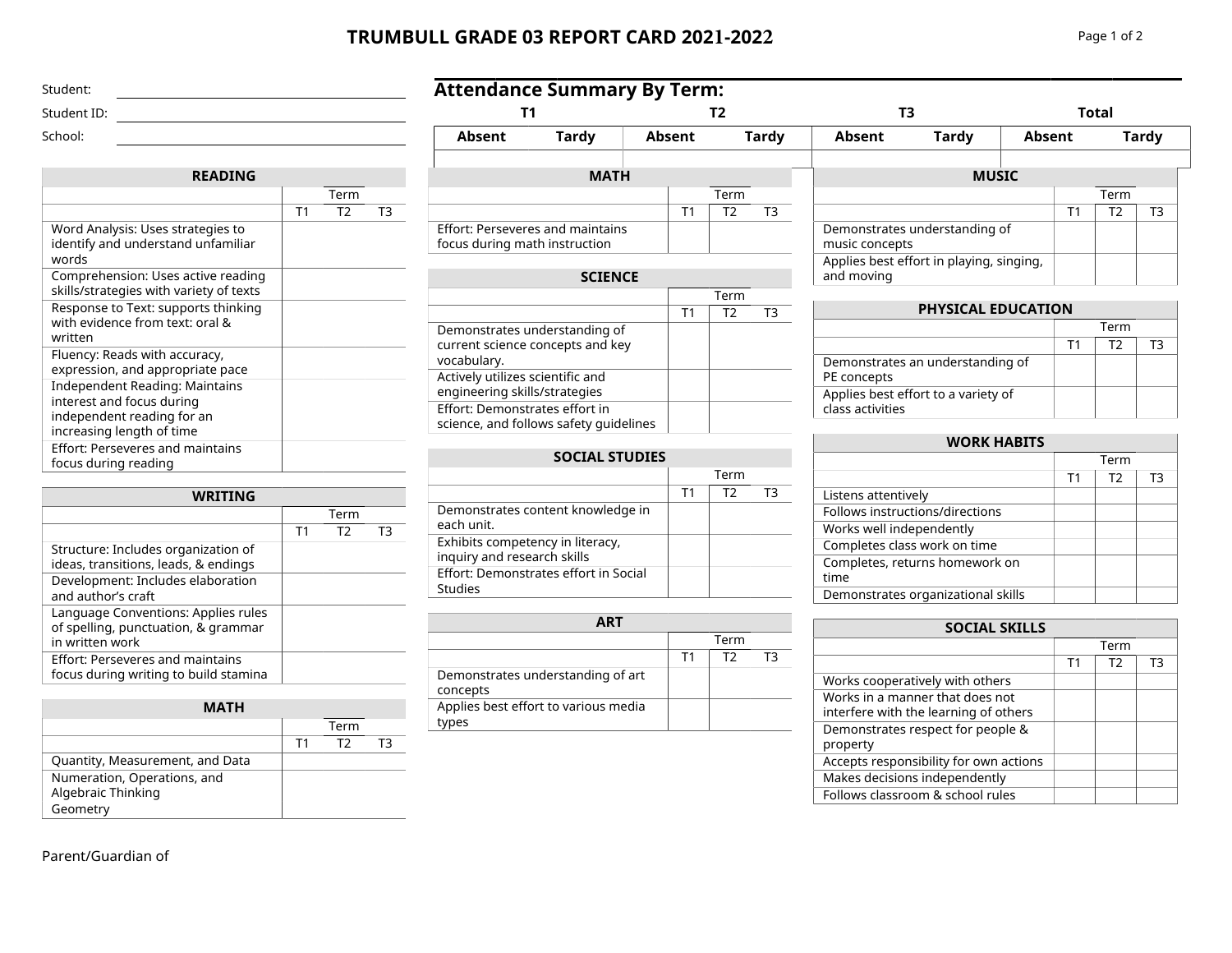## **TRUMBULL GRADE 03 REPORT CARD 2021-2022** Page 1 of 2

Effort: Perseveres and maintains focus during math instruction

**Attendance Summary By Term:**

| Word Analysis: Uses strategies to<br>identify and understand unfamiliar<br>words |  |
|----------------------------------------------------------------------------------|--|
|                                                                                  |  |

Student: Student ID: School:

| identify and understand unfamiliar<br>words                                                                                   |  |  |
|-------------------------------------------------------------------------------------------------------------------------------|--|--|
| Comprehension: Uses active reading<br>skills/strategies with variety of texts                                                 |  |  |
| Response to Text: supports thinking<br>with evidence from text: oral &<br>written                                             |  |  |
| Fluency: Reads with accuracy,<br>expression, and appropriate pace                                                             |  |  |
| <b>Independent Reading: Maintains</b><br>interest and focus during<br>independent reading for an<br>increasing length of time |  |  |
| <b>Effort: Perseveres and maintains</b><br>focus during reading                                                               |  |  |

**READING**

| WRITING                                                                                       |    |                |    |  |
|-----------------------------------------------------------------------------------------------|----|----------------|----|--|
|                                                                                               |    | Term           |    |  |
|                                                                                               | T1 | T <sub>2</sub> | тз |  |
| Structure: Includes organization of<br>ideas, transitions, leads, & endings                   |    |                |    |  |
| Development: Includes elaboration<br>and author's craft                                       |    |                |    |  |
| Language Conventions: Applies rules<br>of spelling, punctuation, & grammar<br>in written work |    |                |    |  |
| <b>Effort: Perseveres and maintains</b><br>focus during writing to build stamina              |    |                |    |  |

| <b>MATH</b>                                       |    |      |  |  |  |
|---------------------------------------------------|----|------|--|--|--|
|                                                   |    | Term |  |  |  |
|                                                   | Τ1 | T2   |  |  |  |
| Quantity, Measurement, and Data                   |    |      |  |  |  |
| Numeration, Operations, and<br>Algebraic Thinking |    |      |  |  |  |
| Geometry                                          |    |      |  |  |  |

Term  $T2$   $T3$ 

|                                                                                  | T1 | T2 | тз |
|----------------------------------------------------------------------------------|----|----|----|
| Demonstrates understanding of<br>current science concepts and key<br>vocabulary. |    |    |    |
| Actively utilizes scientific and<br>engineering skills/strategies                |    |    |    |
| Effort: Demonstrates effort in<br>science, and follows safety guidelines         |    |    |    |

## **SOCIAL STUDIES**

|                                                                 |    | Term |    |
|-----------------------------------------------------------------|----|------|----|
|                                                                 | Т1 | T2   | ТЗ |
| Demonstrates content knowledge in<br>each unit.                 |    |      |    |
| Exhibits competency in literacy,<br>inquiry and research skills |    |      |    |
| Effort: Demonstrates effort in Social<br>Studies                |    |      |    |

| <b>ART</b>                                    |    |      |    |
|-----------------------------------------------|----|------|----|
|                                               |    | Term |    |
|                                               | Τ1 | T2   | тз |
| Demonstrates understanding of art<br>concepts |    |      |    |
| Applies best effort to various media<br>tvpes |    |      |    |

| Absent | Tardy                                                       | Absent |      | Tardv | Absent         | <b>Tardv</b>                             | <b>Absent</b> |      | <b>Tardy</b> |  |
|--------|-------------------------------------------------------------|--------|------|-------|----------------|------------------------------------------|---------------|------|--------------|--|
|        |                                                             |        |      |       |                |                                          |               |      |              |  |
|        | <b>MATH</b>                                                 |        |      |       |                | <b>MUSIC</b>                             |               |      |              |  |
|        |                                                             |        | Term |       |                |                                          |               | Term |              |  |
|        |                                                             |        | Т2   | T3    |                |                                          |               | T2   | T3           |  |
|        | ort: Perseveres and maintains<br>us during math instruction |        |      |       | music concepts | Demonstrates understanding of            |               |      |              |  |
|        | <b>SCIENCE</b>                                              |        |      |       | and moving     | Applies best effort in playing, singing, |               |      |              |  |

**T1 T2 T3 Total**

Term

| <b>PHYSICAL EDUCATION</b>                               |    |      |    |  |  |
|---------------------------------------------------------|----|------|----|--|--|
|                                                         |    | Term |    |  |  |
|                                                         | Т1 | T2   | тз |  |  |
| Demonstrates an understanding of<br>PE concepts         |    |      |    |  |  |
| Applies best effort to a variety of<br>class activities |    |      |    |  |  |

| <b>WORK HABITS</b>                     |                |                |    |  |
|----------------------------------------|----------------|----------------|----|--|
|                                        |                | Term           |    |  |
|                                        | T <sub>1</sub> | T <sub>2</sub> | T3 |  |
| Listens attentively                    |                |                |    |  |
| Follows instructions/directions        |                |                |    |  |
| Works well independently               |                |                |    |  |
| Completes class work on time           |                |                |    |  |
| Completes, returns homework on<br>time |                |                |    |  |
| Demonstrates organizational skills     |                |                |    |  |

| <b>SOCIAL SKILLS</b>                                                     |                |                |    |  |
|--------------------------------------------------------------------------|----------------|----------------|----|--|
|                                                                          |                | Term           |    |  |
|                                                                          | T <sub>1</sub> | T <sub>2</sub> | TЗ |  |
| Works cooperatively with others                                          |                |                |    |  |
| Works in a manner that does not<br>interfere with the learning of others |                |                |    |  |
| Demonstrates respect for people &<br>property                            |                |                |    |  |
| Accepts responsibility for own actions                                   |                |                |    |  |
| Makes decisions independently                                            |                |                |    |  |
| Follows classroom & school rules                                         |                |                |    |  |

## Parent/Guardian of